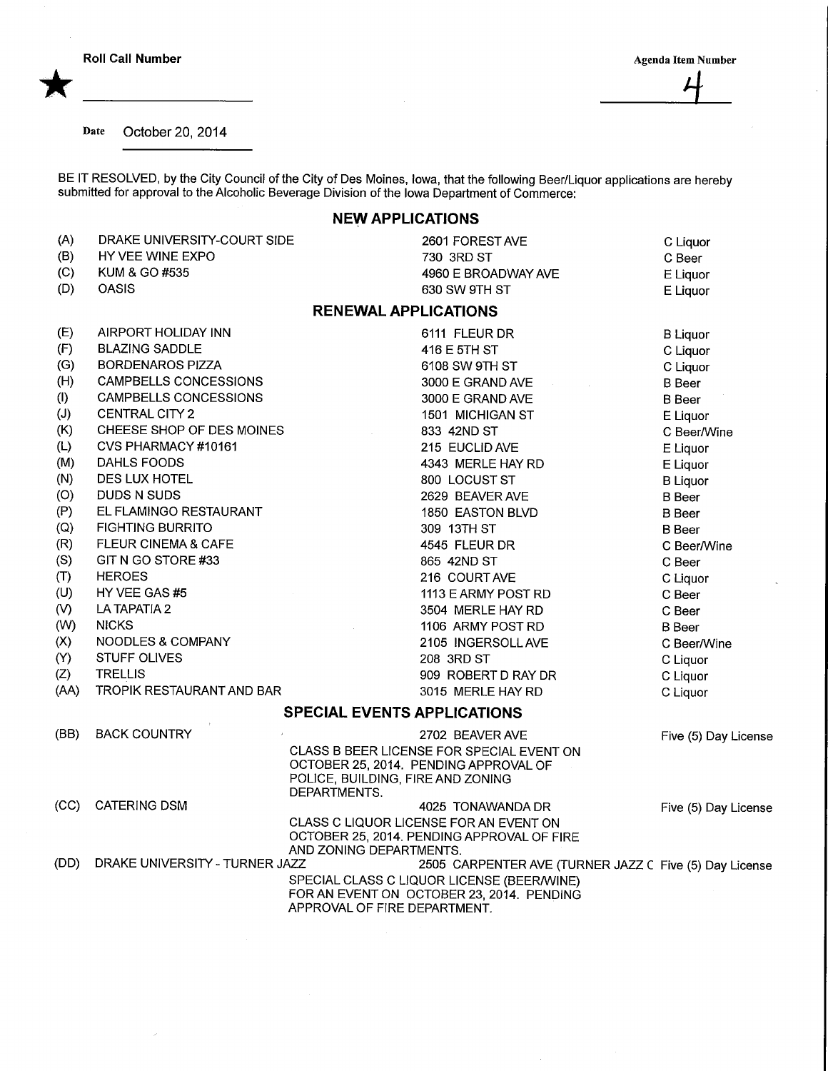\*

Date October 20, 2014

BE IT RESOLVED, by the City Council of the City of Des Moines, Iowa, that the following Beer/Liquor applications are hereby submitted for approval to the Alcoholic Beverage Division of the Iowa Department of Commerce:

## NEW APPLICATIONS

| (A)           | DRAKE UNIVERSITY-COURT SIDE    | 2601 FOREST AVE                                                                      | C Liquor             |
|---------------|--------------------------------|--------------------------------------------------------------------------------------|----------------------|
| (B)           | HY VEE WINE EXPO               | 730 3RD ST                                                                           | C Beer               |
| (C)           | KUM & GO #535                  | 4960 E BROADWAY AVE                                                                  | E Liquor             |
| (D)           | <b>OASIS</b>                   | 630 SW 9TH ST                                                                        | E Liquor             |
|               |                                | <b>RENEWAL APPLICATIONS</b>                                                          |                      |
| (E)           | AIRPORT HOLIDAY INN            | 6111 FLEUR DR                                                                        | <b>B</b> Liquor      |
| (F)           | <b>BLAZING SADDLE</b>          | 416 E 5TH ST                                                                         | C Liquor             |
| (G)           | <b>BORDENAROS PIZZA</b>        | 6108 SW 9TH ST                                                                       | C Liquor             |
| (H)           | CAMPBELLS CONCESSIONS          | 3000 E GRAND AVE                                                                     | <b>B</b> Beer        |
| (1)           | <b>CAMPBELLS CONCESSIONS</b>   | 3000 E GRAND AVE                                                                     | <b>B</b> Beer        |
| (J)           | CENTRAL CITY 2                 | 1501 MICHIGAN ST                                                                     | E Liquor             |
| (K)           | CHEESE SHOP OF DES MOINES      | 833 42ND ST                                                                          | C Beer/Wine          |
| (L)           | CVS PHARMACY #10161            | 215 EUCLID AVE                                                                       | E Liquor             |
| (M)           | DAHLS FOODS                    | 4343 MERLE HAY RD                                                                    | E Liquor             |
| (N)           | DES LUX HOTEL                  | 800 LOCUST ST                                                                        | <b>B</b> Liquor      |
| (O)           | DUDS N SUDS                    | 2629 BEAVER AVE                                                                      | <b>B</b> Beer        |
| (P)           | EL FLAMINGO RESTAURANT         | 1850 EASTON BLVD                                                                     | <b>B</b> Beer        |
| (Q)           | <b>FIGHTING BURRITO</b>        | 309 13TH ST                                                                          | <b>B</b> Beer        |
| (R)           | <b>FLEUR CINEMA &amp; CAFE</b> | 4545 FLEUR DR                                                                        | C Beer/Wine          |
| (S)           | GIT N GO STORE #33             | 865 42ND ST                                                                          | C Beer               |
| (T)           | <b>HEROES</b>                  | 216 COURT AVE                                                                        | C Liquor             |
| (U)           | HY VEE GAS #5                  | 1113 E ARMY POST RD                                                                  | C Beer               |
| $\mathcal{N}$ | LA TAPATIA 2                   | 3504 MERLE HAY RD                                                                    | C Beer               |
| (W)           | <b>NICKS</b>                   | 1106 ARMY POST RD                                                                    | <b>B</b> Beer        |
| (X)           | NOODLES & COMPANY              | 2105 INGERSOLL AVE                                                                   | C Beer/Wine          |
| (Y)           | STUFF OLIVES                   | 208 3RD ST                                                                           | C Liquor             |
| (Z)           | <b>TRELLIS</b>                 | 909 ROBERT D RAY DR                                                                  | C Liquor             |
| (AA)          | TROPIK RESTAURANT AND BAR      | 3015 MERLE HAY RD                                                                    | C Liquor             |
|               |                                | <b>SPECIAL EVENTS APPLICATIONS</b>                                                   |                      |
| (BB)          | <b>BACK COUNTRY</b>            | 2702 BEAVER AVE                                                                      | Five (5) Day License |
|               |                                | CLASS B BEER LICENSE FOR SPECIAL EVENT ON                                            |                      |
|               |                                | OCTOBER 25, 2014. PENDING APPROVAL OF                                                |                      |
|               |                                | POLICE, BUILDING, FIRE AND ZONING                                                    |                      |
|               |                                | DEPARTMENTS.                                                                         |                      |
| (CC)          | <b>CATERING DSM</b>            | 4025 TONAWANDA DR                                                                    | Five (5) Day License |
|               |                                | CLASS C LIQUOR LICENSE FOR AN EVENT ON<br>OCTOBER 25, 2014. PENDING APPROVAL OF FIRE |                      |
|               |                                | AND ZONING DEPARTMENTS.                                                              |                      |
| (DD)          | DRAKE UNIVERSITY - TURNER JAZZ | 2505 CARPENTER AVE (TURNER JAZZ C Five (5) Day License                               |                      |
|               |                                | SPECIAL CLASS C LIQUOR LICENSE (BEER/WINE)                                           |                      |
|               |                                | FOR AN EVENT ON OCTOBER 23, 2014. PENDING                                            |                      |
|               |                                | APPROVAL OF FIRE DEPARTMENT.                                                         |                      |

 $\cdot$